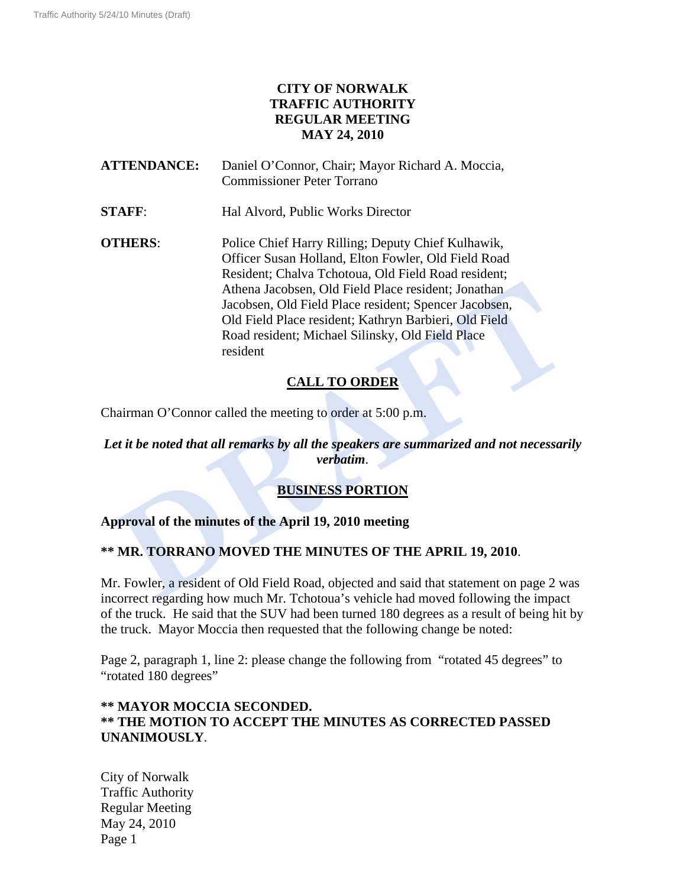## **CITY OF NORWALK TRAFFIC AUTHORITY REGULAR MEETING MAY 24, 2010**

**ATTENDANCE:** Daniel O'Connor, Chair; Mayor Richard A. Moccia, Commissioner Peter Torrano

**STAFF:** Hal Alvord, Public Works Director

**OTHERS:** Police Chief Harry Rilling; Deputy Chief Kulhawik, Officer Susan Holland, Elton Fowler, Old Field Road Resident; Chalva Tchotoua, Old Field Road resident; Athena Jacobsen, Old Field Place resident; Jonathan Jacobsen, Old Field Place resident; Spencer Jacobsen, Old Field Place resident; Kathryn Barbieri, Old Field Road resident; Michael Silinsky, Old Field Place resident

# **CALL TO ORDER**

Chairman O'Connor called the meeting to order at 5:00 p.m.

### *Let it be noted that all remarks by all the speakers are summarized and not necessarily verbatim*.

# **BUSINESS PORTION**

### **Approval of the minutes of the April 19, 2010 meeting**

### **\*\* MR. TORRANO MOVED THE MINUTES OF THE APRIL 19, 2010**.

Mr. Fowler, a resident of Old Field Road, objected and said that statement on page 2 was incorrect regarding how much Mr. Tchotoua's vehicle had moved following the impact of the truck. He said that the SUV had been turned 180 degrees as a result of being hit by the truck. Mayor Moccia then requested that the following change be noted:

Page 2, paragraph 1, line 2: please change the following from "rotated 45 degrees" to "rotated 180 degrees"

#### **\*\* MAYOR MOCCIA SECONDED. \*\* THE MOTION TO ACCEPT THE MINUTES AS CORRECTED PASSED UNANIMOUSLY**.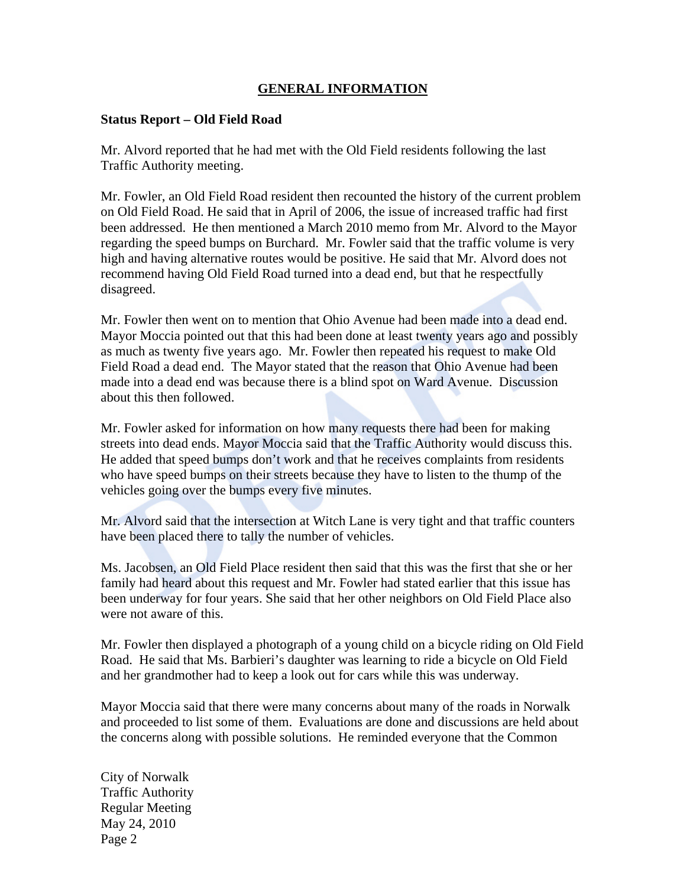### **GENERAL INFORMATION**

#### **Status Report – Old Field Road**

Mr. Alvord reported that he had met with the Old Field residents following the last Traffic Authority meeting.

Mr. Fowler, an Old Field Road resident then recounted the history of the current problem on Old Field Road. He said that in April of 2006, the issue of increased traffic had first been addressed. He then mentioned a March 2010 memo from Mr. Alvord to the Mayor regarding the speed bumps on Burchard. Mr. Fowler said that the traffic volume is very high and having alternative routes would be positive. He said that Mr. Alvord does not recommend having Old Field Road turned into a dead end, but that he respectfully disagreed.

Mr. Fowler then went on to mention that Ohio Avenue had been made into a dead end. Mayor Moccia pointed out that this had been done at least twenty years ago and possibly as much as twenty five years ago. Mr. Fowler then repeated his request to make Old Field Road a dead end. The Mayor stated that the reason that Ohio Avenue had been made into a dead end was because there is a blind spot on Ward Avenue. Discussion about this then followed.

Mr. Fowler asked for information on how many requests there had been for making streets into dead ends. Mayor Moccia said that the Traffic Authority would discuss this. He added that speed bumps don't work and that he receives complaints from residents who have speed bumps on their streets because they have to listen to the thump of the vehicles going over the bumps every five minutes.

Mr. Alvord said that the intersection at Witch Lane is very tight and that traffic counters have been placed there to tally the number of vehicles.

Ms. Jacobsen, an Old Field Place resident then said that this was the first that she or her family had heard about this request and Mr. Fowler had stated earlier that this issue has been underway for four years. She said that her other neighbors on Old Field Place also were not aware of this.

Mr. Fowler then displayed a photograph of a young child on a bicycle riding on Old Field Road. He said that Ms. Barbieri's daughter was learning to ride a bicycle on Old Field and her grandmother had to keep a look out for cars while this was underway.

Mayor Moccia said that there were many concerns about many of the roads in Norwalk and proceeded to list some of them. Evaluations are done and discussions are held about the concerns along with possible solutions. He reminded everyone that the Common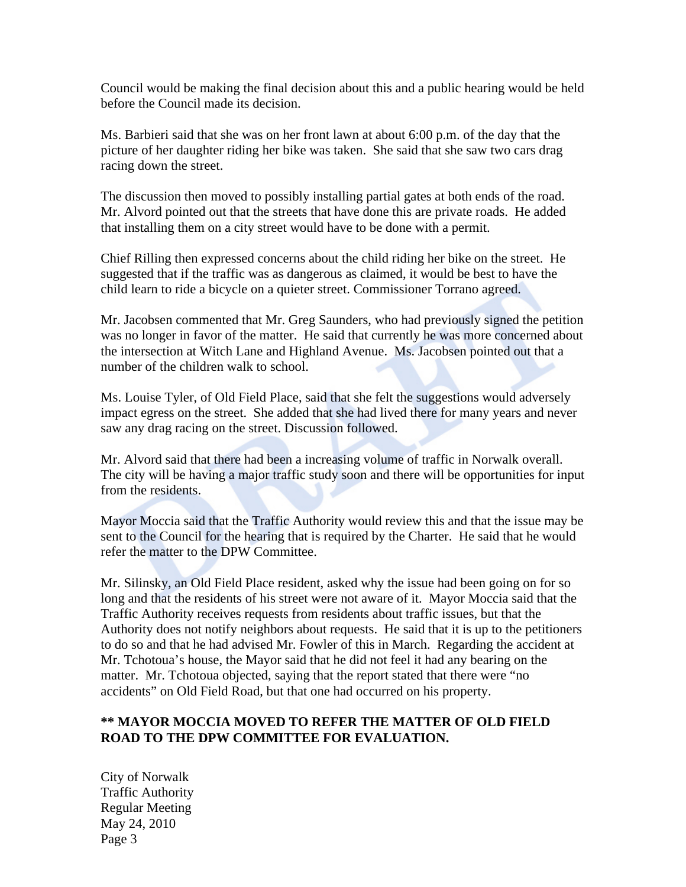Council would be making the final decision about this and a public hearing would be held before the Council made its decision.

Ms. Barbieri said that she was on her front lawn at about 6:00 p.m. of the day that the picture of her daughter riding her bike was taken. She said that she saw two cars drag racing down the street.

The discussion then moved to possibly installing partial gates at both ends of the road. Mr. Alvord pointed out that the streets that have done this are private roads. He added that installing them on a city street would have to be done with a permit.

Chief Rilling then expressed concerns about the child riding her bike on the street. He suggested that if the traffic was as dangerous as claimed, it would be best to have the child learn to ride a bicycle on a quieter street. Commissioner Torrano agreed.

Mr. Jacobsen commented that Mr. Greg Saunders, who had previously signed the petition was no longer in favor of the matter. He said that currently he was more concerned about the intersection at Witch Lane and Highland Avenue. Ms. Jacobsen pointed out that a number of the children walk to school.

Ms. Louise Tyler, of Old Field Place, said that she felt the suggestions would adversely impact egress on the street. She added that she had lived there for many years and never saw any drag racing on the street. Discussion followed.

Mr. Alvord said that there had been a increasing volume of traffic in Norwalk overall. The city will be having a major traffic study soon and there will be opportunities for input from the residents.

Mayor Moccia said that the Traffic Authority would review this and that the issue may be sent to the Council for the hearing that is required by the Charter. He said that he would refer the matter to the DPW Committee.

Mr. Silinsky, an Old Field Place resident, asked why the issue had been going on for so long and that the residents of his street were not aware of it. Mayor Moccia said that the Traffic Authority receives requests from residents about traffic issues, but that the Authority does not notify neighbors about requests. He said that it is up to the petitioners to do so and that he had advised Mr. Fowler of this in March. Regarding the accident at Mr. Tchotoua's house, the Mayor said that he did not feel it had any bearing on the matter. Mr. Tchotoua objected, saying that the report stated that there were "no accidents" on Old Field Road, but that one had occurred on his property.

### **\*\* MAYOR MOCCIA MOVED TO REFER THE MATTER OF OLD FIELD ROAD TO THE DPW COMMITTEE FOR EVALUATION.**